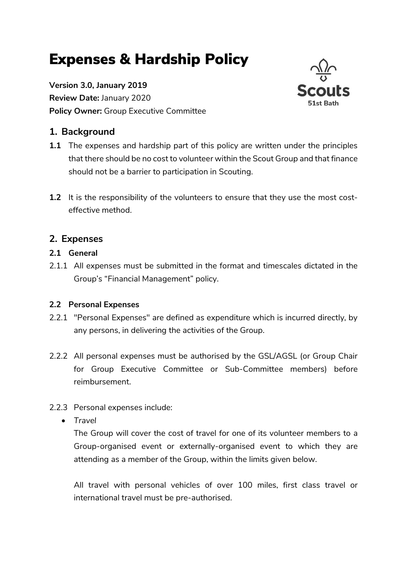# Expenses & Hardship Policy

Version 3.0, January 2019 Review Date: January 2020 Policy Owner: Group Executive Committee

# 1. Background



1.2 It is the responsibility of the volunteers to ensure that they use the most costeffective method.

# 2. Expenses

#### 2.1 General

2.1.1 All expenses must be submitted in the format and timescales dictated in the Group's "Financial Management" policy.

# 2.2 Personal Expenses

- 2.2.1 "Personal Expenses" are defined as expenditure which is incurred directly, by any persons, in delivering the activities of the Group.
- 2.2.2 All personal expenses must be authorised by the GSL/AGSL (or Group Chair for Group Executive Committee or Sub-Committee members) before reimbursement.

# 2.2.3 Personal expenses include:

• Travel

The Group will cover the cost of travel for one of its volunteer members to a Group-organised event or externally-organised event to which they are attending as a member of the Group, within the limits given below.

All travel with personal vehicles of over 100 miles, first class travel or international travel must be pre-authorised.

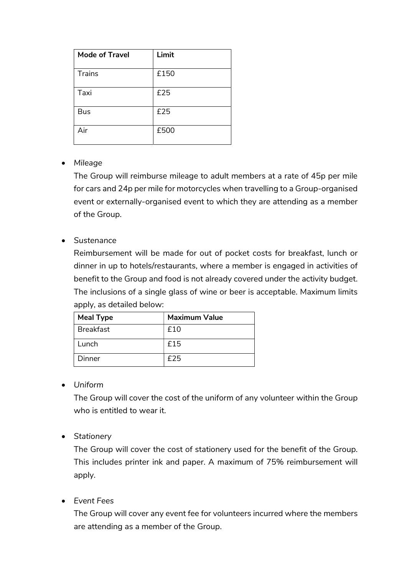| <b>Mode of Travel</b> | Limit |
|-----------------------|-------|
| Trains                | £150  |
| Taxi                  | £25   |
| <b>Bus</b>            | £25   |
| Air                   | £500  |

#### Mileage

The Group will reimburse mileage to adult members at a rate of 45p per mile for cars and 24p per mile for motorcycles when travelling to a Group-organised event or externally-organised event to which they are attending as a member of the Group.

#### Sustenance

Reimbursement will be made for out of pocket costs for breakfast, lunch or dinner in up to hotels/restaurants, where a member is engaged in activities of benefit to the Group and food is not already covered under the activity budget. The inclusions of a single glass of wine or beer is acceptable. Maximum limits apply, as detailed below:

| <b>Meal Type</b> | <b>Maximum Value</b> |
|------------------|----------------------|
| <b>Breakfast</b> | f10                  |
| Lunch            | f15                  |
| Dinner           | f25                  |

Uniform

The Group will cover the cost of the uniform of any volunteer within the Group who is entitled to wear it.

• Stationery

The Group will cover the cost of stationery used for the benefit of the Group. This includes printer ink and paper. A maximum of 75% reimbursement will apply.

Event Fees

The Group will cover any event fee for volunteers incurred where the members are attending as a member of the Group.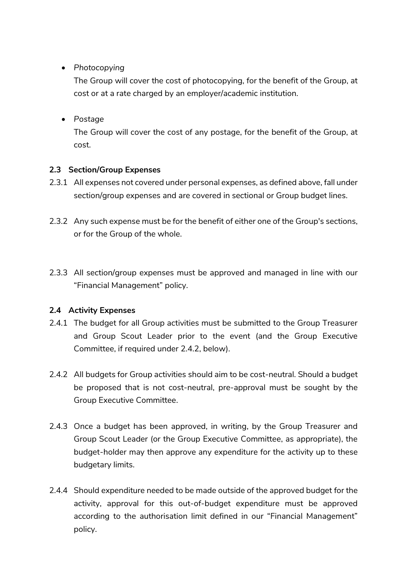• Photocopying

The Group will cover the cost of photocopying, for the benefit of the Group, at cost or at a rate charged by an employer/academic institution.

Postage

The Group will cover the cost of any postage, for the benefit of the Group, at cost.

#### 2.3 Section/Group Expenses

- 2.3.1 All expenses not covered under personal expenses, as defined above, fall under section/group expenses and are covered in sectional or Group budget lines.
- 2.3.2 Any such expense must be for the benefit of either one of the Group's sections, or for the Group of the whole.
- 2.3.3 All section/group expenses must be approved and managed in line with our "Financial Management" policy.

# 2.4 Activity Expenses

- 2.4.1 The budget for all Group activities must be submitted to the Group Treasurer and Group Scout Leader prior to the event (and the Group Executive Committee, if required under 2.4.2, below).
- 2.4.2 All budgets for Group activities should aim to be cost-neutral. Should a budget be proposed that is not cost-neutral, pre-approval must be sought by the Group Executive Committee.
- 2.4.3 Once a budget has been approved, in writing, by the Group Treasurer and Group Scout Leader (or the Group Executive Committee, as appropriate), the budget-holder may then approve any expenditure for the activity up to these budgetary limits.
- 2.4.4 Should expenditure needed to be made outside of the approved budget for the activity, approval for this out-of-budget expenditure must be approved according to the authorisation limit defined in our "Financial Management" policy.